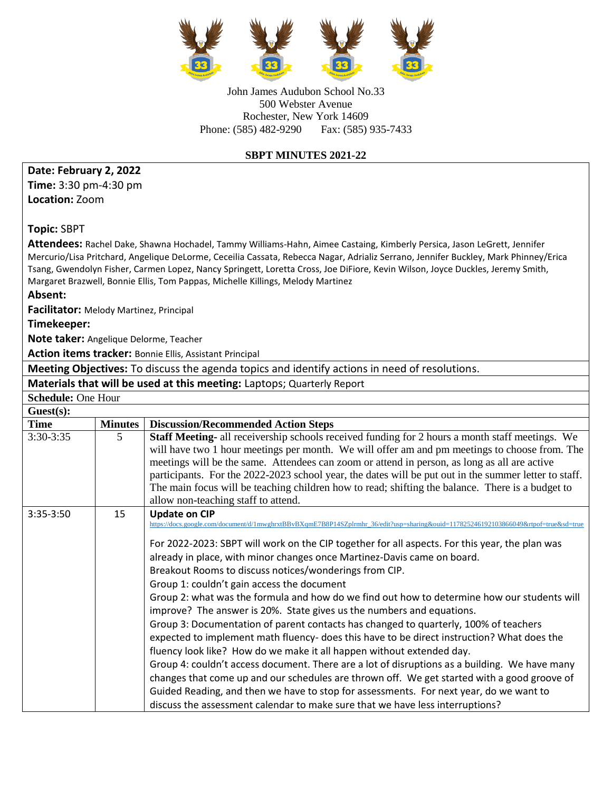

John James Audubon School No.33 500 Webster Avenue Rochester, New York 14609 Phone: (585) 482-9290 Fax: (585) 935-7433

## **SBPT MINUTES 2021-22**

## **Date: February 2, 2022**

**Time:** 3:30 pm-4:30 pm **Location:** Zoom

**Topic:** SBPT

**Attendees:** Rachel Dake, Shawna Hochadel, Tammy Williams-Hahn, Aimee Castaing, Kimberly Persica, Jason LeGrett, Jennifer Mercurio/Lisa Pritchard, Angelique DeLorme, Ceceilia Cassata, Rebecca Nagar, Adrializ Serrano, Jennifer Buckley, Mark Phinney/Erica Tsang, Gwendolyn Fisher, Carmen Lopez, Nancy Springett, Loretta Cross, Joe DiFiore, Kevin Wilson, Joyce Duckles, Jeremy Smith, Margaret Brazwell, Bonnie Ellis, Tom Pappas, Michelle Killings, Melody Martinez

**Absent:**

**Facilitator:** Melody Martinez, Principal

**Timekeeper:** 

**Note taker:** Angelique Delorme, Teacher

**Action items tracker:** Bonnie Ellis, Assistant Principal

**Meeting Objectives:** To discuss the agenda topics and identify actions in need of resolutions.

**Materials that will be used at this meeting:** Laptops; Quarterly Report

| <b>Schedule: One Hour</b> |                |                                                                                                                                                                                                                                                                                                                                                                                                                                                                                                                                                                                                                                                                                                                                                                                                                                                                                                                                                                                                                                                                                                                                                                                                                                                                    |  |  |  |
|---------------------------|----------------|--------------------------------------------------------------------------------------------------------------------------------------------------------------------------------------------------------------------------------------------------------------------------------------------------------------------------------------------------------------------------------------------------------------------------------------------------------------------------------------------------------------------------------------------------------------------------------------------------------------------------------------------------------------------------------------------------------------------------------------------------------------------------------------------------------------------------------------------------------------------------------------------------------------------------------------------------------------------------------------------------------------------------------------------------------------------------------------------------------------------------------------------------------------------------------------------------------------------------------------------------------------------|--|--|--|
| Guest(s):                 |                |                                                                                                                                                                                                                                                                                                                                                                                                                                                                                                                                                                                                                                                                                                                                                                                                                                                                                                                                                                                                                                                                                                                                                                                                                                                                    |  |  |  |
| <b>Time</b>               | <b>Minutes</b> | <b>Discussion/Recommended Action Steps</b>                                                                                                                                                                                                                                                                                                                                                                                                                                                                                                                                                                                                                                                                                                                                                                                                                                                                                                                                                                                                                                                                                                                                                                                                                         |  |  |  |
| $3:30-3:35$               | 5              | <b>Staff Meeting-</b> all receivership schools received funding for 2 hours a month staff meetings. We<br>will have two 1 hour meetings per month. We will offer am and pm meetings to choose from. The<br>meetings will be the same. Attendees can zoom or attend in person, as long as all are active<br>participants. For the 2022-2023 school year, the dates will be put out in the summer letter to staff.<br>The main focus will be teaching children how to read; shifting the balance. There is a budget to<br>allow non-teaching staff to attend.                                                                                                                                                                                                                                                                                                                                                                                                                                                                                                                                                                                                                                                                                                        |  |  |  |
| 3:35-3:50                 | 15             | <b>Update on CIP</b><br>https://docs.google.com/document/d/1mwghrxtBBvBXqmE7B8P14SZplrmhr 36/edit?usp=sharing&ouid=117825246192103866049&rtpof=true&sd=true<br>For 2022-2023: SBPT will work on the CIP together for all aspects. For this year, the plan was<br>already in place, with minor changes once Martinez-Davis came on board.<br>Breakout Rooms to discuss notices/wonderings from CIP.<br>Group 1: couldn't gain access the document<br>Group 2: what was the formula and how do we find out how to determine how our students will<br>improve? The answer is 20%. State gives us the numbers and equations.<br>Group 3: Documentation of parent contacts has changed to quarterly, 100% of teachers<br>expected to implement math fluency- does this have to be direct instruction? What does the<br>fluency look like? How do we make it all happen without extended day.<br>Group 4: couldn't access document. There are a lot of disruptions as a building. We have many<br>changes that come up and our schedules are thrown off. We get started with a good groove of<br>Guided Reading, and then we have to stop for assessments. For next year, do we want to<br>discuss the assessment calendar to make sure that we have less interruptions? |  |  |  |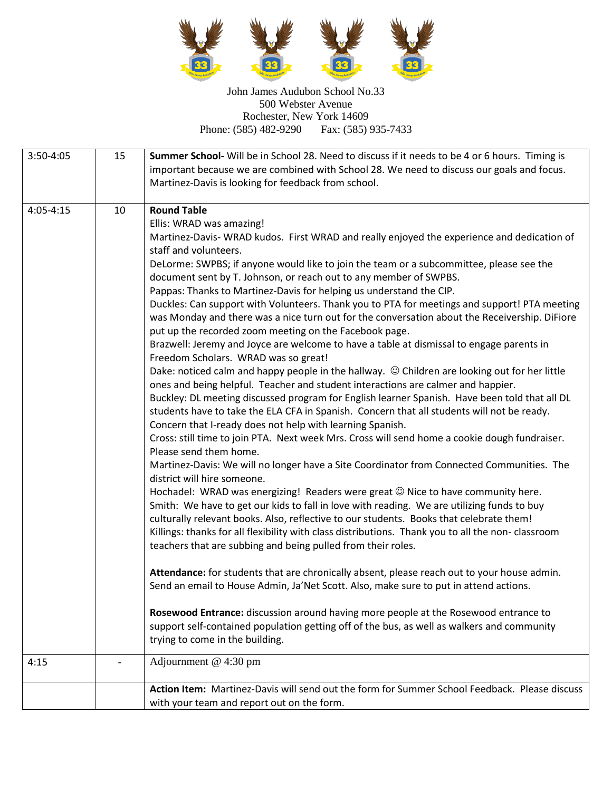

John James Audubon School No.33 500 Webster Avenue Rochester, New York 14609<br>
1859 482-9290 Fax: (585) 935-7433 Phone: (585) 482-9290

| 3:50-4:05     | 15 | Summer School- Will be in School 28. Need to discuss if it needs to be 4 or 6 hours. Timing is<br>important because we are combined with School 28. We need to discuss our goals and focus.<br>Martinez-Davis is looking for feedback from school.                                                                                                                                                                                                                                                                                                                                                                                                                                                                                                                                                                                                                                                                                                                                                                                                                                                                                                                                                                                                                                                                                                                                                                                                                                                                                                                                                                                                                                                                                                                                                                                                                                                                                                                                                                                                                                                                                                                                                                                                                                                                                                                                    |
|---------------|----|---------------------------------------------------------------------------------------------------------------------------------------------------------------------------------------------------------------------------------------------------------------------------------------------------------------------------------------------------------------------------------------------------------------------------------------------------------------------------------------------------------------------------------------------------------------------------------------------------------------------------------------------------------------------------------------------------------------------------------------------------------------------------------------------------------------------------------------------------------------------------------------------------------------------------------------------------------------------------------------------------------------------------------------------------------------------------------------------------------------------------------------------------------------------------------------------------------------------------------------------------------------------------------------------------------------------------------------------------------------------------------------------------------------------------------------------------------------------------------------------------------------------------------------------------------------------------------------------------------------------------------------------------------------------------------------------------------------------------------------------------------------------------------------------------------------------------------------------------------------------------------------------------------------------------------------------------------------------------------------------------------------------------------------------------------------------------------------------------------------------------------------------------------------------------------------------------------------------------------------------------------------------------------------------------------------------------------------------------------------------------------------|
| $4:05 - 4:15$ | 10 | <b>Round Table</b><br>Ellis: WRAD was amazing!<br>Martinez-Davis- WRAD kudos. First WRAD and really enjoyed the experience and dedication of<br>staff and volunteers.<br>DeLorme: SWPBS; if anyone would like to join the team or a subcommittee, please see the<br>document sent by T. Johnson, or reach out to any member of SWPBS.<br>Pappas: Thanks to Martinez-Davis for helping us understand the CIP.<br>Duckles: Can support with Volunteers. Thank you to PTA for meetings and support! PTA meeting<br>was Monday and there was a nice turn out for the conversation about the Receivership. DiFiore<br>put up the recorded zoom meeting on the Facebook page.<br>Brazwell: Jeremy and Joyce are welcome to have a table at dismissal to engage parents in<br>Freedom Scholars. WRAD was so great!<br>Dake: noticed calm and happy people in the hallway. © Children are looking out for her little<br>ones and being helpful. Teacher and student interactions are calmer and happier.<br>Buckley: DL meeting discussed program for English learner Spanish. Have been told that all DL<br>students have to take the ELA CFA in Spanish. Concern that all students will not be ready.<br>Concern that I-ready does not help with learning Spanish.<br>Cross: still time to join PTA. Next week Mrs. Cross will send home a cookie dough fundraiser.<br>Please send them home.<br>Martinez-Davis: We will no longer have a Site Coordinator from Connected Communities. The<br>district will hire someone.<br>Hochadel: WRAD was energizing! Readers were great © Nice to have community here.<br>Smith: We have to get our kids to fall in love with reading. We are utilizing funds to buy<br>culturally relevant books. Also, reflective to our students. Books that celebrate them!<br>Killings: thanks for all flexibility with class distributions. Thank you to all the non-classroom<br>teachers that are subbing and being pulled from their roles.<br>Attendance: for students that are chronically absent, please reach out to your house admin.<br>Send an email to House Admin, Ja'Net Scott. Also, make sure to put in attend actions.<br>Rosewood Entrance: discussion around having more people at the Rosewood entrance to<br>support self-contained population getting off of the bus, as well as walkers and community<br>trying to come in the building. |
| 4:15          |    | Adjournment @ 4:30 pm                                                                                                                                                                                                                                                                                                                                                                                                                                                                                                                                                                                                                                                                                                                                                                                                                                                                                                                                                                                                                                                                                                                                                                                                                                                                                                                                                                                                                                                                                                                                                                                                                                                                                                                                                                                                                                                                                                                                                                                                                                                                                                                                                                                                                                                                                                                                                                 |
|               |    | Action Item: Martinez-Davis will send out the form for Summer School Feedback. Please discuss<br>with your team and report out on the form.                                                                                                                                                                                                                                                                                                                                                                                                                                                                                                                                                                                                                                                                                                                                                                                                                                                                                                                                                                                                                                                                                                                                                                                                                                                                                                                                                                                                                                                                                                                                                                                                                                                                                                                                                                                                                                                                                                                                                                                                                                                                                                                                                                                                                                           |